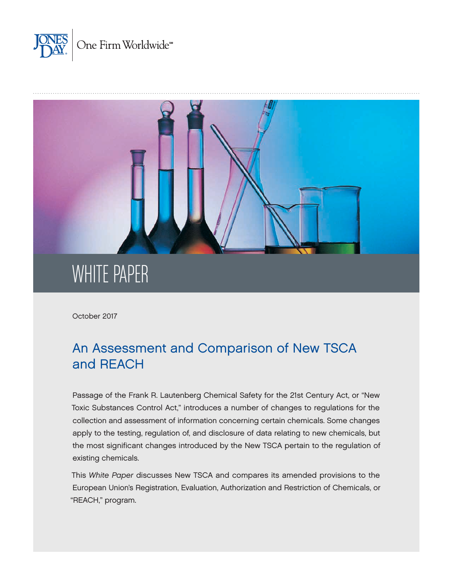



October 2017

# An Assessment and Comparison of New TSCA and REACH

Passage of the Frank R. Lautenberg Chemical Safety for the 21st Century Act, or "New Toxic Substances Control Act," introduces a number of changes to regulations for the collection and assessment of information concerning certain chemicals. Some changes apply to the testing, regulation of, and disclosure of data relating to new chemicals, but the most significant changes introduced by the New TSCA pertain to the regulation of existing chemicals.

This *White Paper* discusses New TSCA and compares its amended provisions to the European Union's Registration, Evaluation, Authorization and Restriction of Chemicals, or "REACH," program.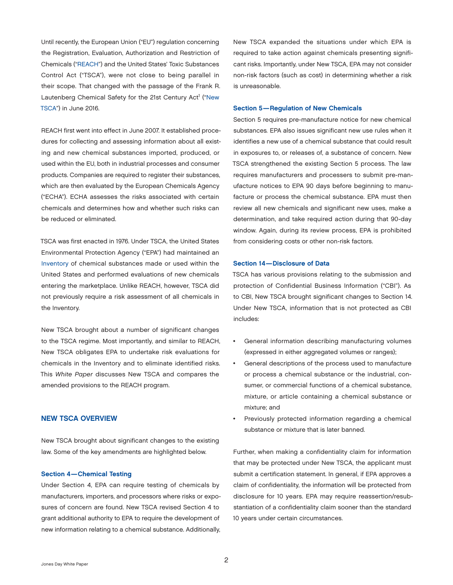Until recently, the European Union ("EU") regulation concerning the Registration, Evaluation, Authorization and Restriction of Chemicals ("[REACH](https://echa.europa.eu/regulations/reach)") and the United States' Toxic Substances Control Act ("TSCA"), were not close to being parallel in their scope. That changed with the passage of the Frank R. Lautenberg Chemical Safety for the 21st Century Act<sup>1</sup> ("New TSCA") in June 2016.

REACH first went into effect in June 2007. It established procedures for collecting and assessing information about all existing and new chemical substances imported, produced, or used within the EU, both in industrial processes and consumer products. Companies are required to register their substances, which are then evaluated by the European Chemicals Agency ("ECHA"). ECHA assesses the risks associated with certain chemicals and determines how and whether such risks can be reduced or eliminated.

TSCA was first enacted in 1976. Under TSCA, the United States Environmental Protection Agency ("EPA") had maintained an [Inventory](https://www.epa.gov/tsca-inventory) of chemical substances made or used within the United States and performed evaluations of new chemicals entering the marketplace. Unlike REACH, however, TSCA did not previously require a risk assessment of all chemicals in the Inventory.

New TSCA brought about a number of significant changes to the TSCA regime. Most importantly, and similar to REACH, New TSCA obligates EPA to undertake risk evaluations for chemicals in the Inventory and to eliminate identified risks. This *White Paper* discusses New TSCA and compares the amended provisions to the REACH program.

# NEW TSCA OVERVIEW

New TSCA brought about significant changes to the existing law. Some of the key amendments are highlighted below.

### Section 4—Chemical Testing

Under Section 4, EPA can require testing of chemicals by manufacturers, importers, and processors where risks or exposures of concern are found. New TSCA revised Section 4 to grant additional authority to EPA to require the development of new information relating to a chemical substance. Additionally,

New TSCA expanded the situations under which EPA is required to take action against chemicals presenting significant risks. Importantly, under New TSCA, EPA may not consider non-risk factors (such as cost) in determining whether a risk is unreasonable.

#### Section 5—Regulation of New Chemicals

Section 5 requires pre-manufacture notice for new chemical substances*.* EPA also issues significant new use rules when it identifies a new use of a chemical substance that could result in exposures to, or releases of, a substance of concern. New TSCA strengthened the existing Section 5 process. The law requires manufacturers and processers to submit pre-manufacture notices to EPA 90 days before beginning to manufacture or process the chemical substance. EPA must then review all new chemicals and significant new uses, make a determination, and take required action during that 90-day window. Again, during its review process, EPA is prohibited from considering costs or other non-risk factors.

### Section 14—Disclosure of Data

TSCA has various provisions relating to the submission and protection of Confidential Business Information ("CBI"). As to CBI, New TSCA brought significant changes to Section 14. Under New TSCA, information that is not protected as CBI includes:

- General information describing manufacturing volumes (expressed in either aggregated volumes or ranges);
- General descriptions of the process used to manufacture or process a chemical substance or the industrial, consumer, or commercial functions of a chemical substance, mixture, or article containing a chemical substance or mixture; and
- Previously protected information regarding a chemical substance or mixture that is later banned.

Further, when making a confidentiality claim for information that may be protected under New TSCA, the applicant must submit a certification statement. In general, if EPA approves a claim of confidentiality, the information will be protected from disclosure for 10 years. EPA may require reassertion/resubstantiation of a confidentiality claim sooner than the standard 10 years under certain circumstances.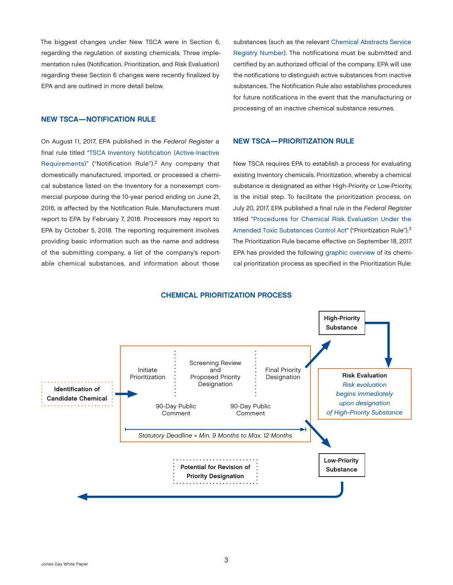The biggest changes under New TSCA were in Section 6, regarding the regulation of existing chemicals. Three implementation rules (Notification, Prioritization, and Risk Evaluation) regarding these Section 6 changes were recently finalized by EPA and are outlined in more detail below.

# NEW TSCA—NOTIFICATION RULE

On August 11, 2017, EPA published in the *Federal Register* a final rule titled "[TSCA Inventory Notification \(Active-Inactive](https://www.gpo.gov/fdsys/pkg/FR-2017-08-11/pdf/2017-15736.pdf)  [Requirements\)"](https://www.gpo.gov/fdsys/pkg/FR-2017-08-11/pdf/2017-15736.pdf) ("Notification Rule").<sup>2</sup> Any company that domestically manufactured, imported, or processed a chemical substance listed on the Inventory for a nonexempt commercial purpose during the 10-year period ending on June 21, 2016, is affected by the Notification Rule. Manufacturers must report to EPA by February 7, 2018. Processors may report to EPA by October 5, 2018. The reporting requirement involves providing basic information such as the name and address of the submitting company, a list of the company's reportable chemical substances, and information about those

substances (such as the relevant [Chemical Abstracts Service](https://www.cas.org/content/chemical-substances/faqs) [Registry Number\)](https://www.cas.org/content/chemical-substances/faqs). The notifications must be submitted and certified by an authorized official of the company. EPA will use the notifications to distinguish active substances from inactive substances. The Notification Rule also establishes procedures for future notifications in the event that the manufacturing or processing of an inactive chemical substance resumes.

## NEW TSCA—PRIORITIZATION RULE

New TSCA requires EPA to establish a process for evaluating existing Inventory chemicals. Prioritization, whereby a chemical substance is designated as either High-Priority or Low-Priority, is the initial step. To facilitate the prioritization process, on July 20, 2017, EPA published a final rule in the *Federal Register* titled ["Procedures for Chemical Risk Evaluation Under the](https://www.gpo.gov/fdsys/pkg/FR-2017-07-20/pdf/2017-14325.pdf)  [Amended Toxic Substances Control Act](https://www.gpo.gov/fdsys/pkg/FR-2017-07-20/pdf/2017-14325.pdf)" ("Prioritization Rule").3 The Prioritization Rule became effective on September 18, 2017. EPA has provided the following [graphic overview](https://www.epa.gov/assessing-and-managing-chemicals-under-tsca/prioritizing-existing-chemicals-risk-evaluation) of its chemical prioritization process as specified in the Prioritization Rule:

#### CHEMICAL PRIORITIZATION PROCESS

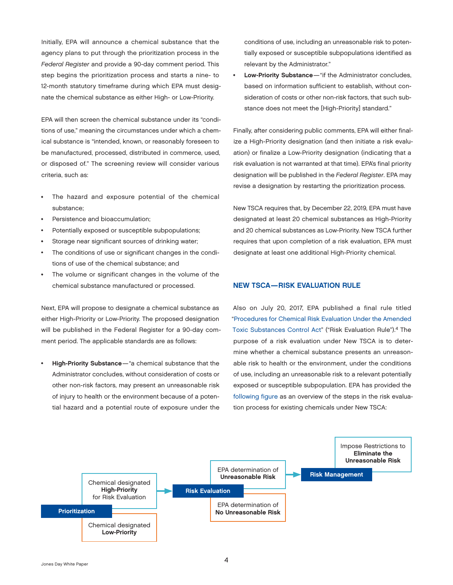Initially, EPA will announce a chemical substance that the agency plans to put through the prioritization process in the *Federal Register* and provide a 90-day comment period. This step begins the prioritization process and starts a nine- to 12-month statutory timeframe during which EPA must designate the chemical substance as either High- or Low-Priority.

EPA will then screen the chemical substance under its "conditions of use," meaning the circumstances under which a chemical substance is "intended, known, or reasonably foreseen to be manufactured, processed, distributed in commerce, used, or disposed of." The screening review will consider various criteria, such as:

- The hazard and exposure potential of the chemical substance;
- Persistence and bioaccumulation;
- Potentially exposed or susceptible subpopulations;
- Storage near significant sources of drinking water;
- The conditions of use or significant changes in the conditions of use of the chemical substance; and
- The volume or significant changes in the volume of the chemical substance manufactured or processed.

Next, EPA will propose to designate a chemical substance as either High-Priority or Low-Priority. The proposed designation will be published in the Federal Register for a 90-day comment period. The applicable standards are as follows:

High-Priority Substance—"a chemical substance that the Administrator concludes, without consideration of costs or other non-risk factors, may present an unreasonable risk of injury to health or the environment because of a potential hazard and a potential route of exposure under the conditions of use, including an unreasonable risk to potentially exposed or susceptible subpopulations identified as relevant by the Administrator."

Low-Priority Substance-"if the Administrator concludes, based on information sufficient to establish, without consideration of costs or other non-risk factors, that such substance does not meet the [High-Priority] standard."

Finally, after considering public comments, EPA will either finalize a High-Priority designation (and then initiate a risk evaluation) or finalize a Low-Priority designation (indicating that a risk evaluation is not warranted at that time). EPA's final priority designation will be published in the *Federal Register*. EPA may revise a designation by restarting the prioritization process.

New TSCA requires that, by December 22, 2019, EPA must have designated at least 20 chemical substances as High-Priority and 20 chemical substances as Low-Priority. New TSCA further requires that upon completion of a risk evaluation, EPA must designate at least one additional High-Priority chemical.

# NEW TSCA—RISK EVALUATION RULE

Also on July 20, 2017, EPA published a final rule titled ["Procedures for Chemical Risk Evaluation Under the Amended](https://www.gpo.gov/fdsys/pkg/FR-2017-07-20/pdf/2017-14337.pdf) [Toxic Substances Control Act](https://www.gpo.gov/fdsys/pkg/FR-2017-07-20/pdf/2017-14337.pdf)" ("Risk Evaluation Rule").4 The purpose of a risk evaluation under New TSCA is to determine whether a chemical substance presents an unreasonable risk to health or the environment, under the conditions of use, including an unreasonable risk to a relevant potentially exposed or susceptible subpopulation. EPA has provided the [following figure](https://www.epa.gov/assessing-and-managing-chemicals-under-tsca/risk-evaluations-existing-chemicals-under-tsca) as an overview of the steps in the risk evaluation process for existing chemicals under New TSCA:

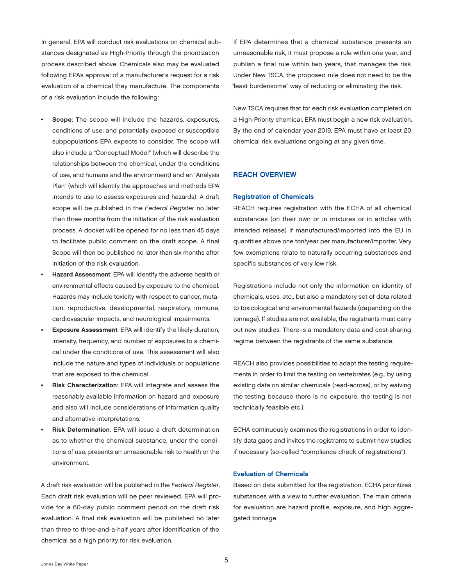In general, EPA will conduct risk evaluations on chemical substances designated as High-Priority through the prioritization process described above. Chemicals also may be evaluated following EPA's approval of a manufacturer's request for a risk evaluation of a chemical they manufacture. The components of a risk evaluation include the following:

- Scope: The scope will include the hazards, exposures, conditions of use, and potentially exposed or susceptible subpopulations EPA expects to consider. The scope will also include a "Conceptual Model" (which will describe the relationships between the chemical, under the conditions of use, and humans and the environment) and an "Analysis Plan" (which will identify the approaches and methods EPA intends to use to assess exposures and hazards). A draft scope will be published in the *Federal Register* no later than three months from the initiation of the risk evaluation process. A docket will be opened for no less than 45 days to facilitate public comment on the draft scope. A final Scope will then be published no later than six months after initiation of the risk evaluation.
- Hazard Assessment: EPA will identify the adverse health or environmental effects caused by exposure to the chemical. Hazards may include toxicity with respect to cancer, mutation, reproductive, developmental, respiratory, immune, cardiovascular impacts, and neurological impairments.
- Exposure Assessment: EPA will identify the likely duration, intensity, frequency, and number of exposures to a chemical under the conditions of use. This assessment will also include the nature and types of individuals or populations that are exposed to the chemical.
- Risk Characterization: EPA will integrate and assess the reasonably available information on hazard and exposure and also will include considerations of information quality and alternative interpretations.
- Risk Determination: EPA will issue a draft determination as to whether the chemical substance, under the conditions of use, presents an unreasonable risk to health or the environment.

A draft risk evaluation will be published in the *Federal Register*. Each draft risk evaluation will be peer reviewed. EPA will provide for a 60-day public comment period on the draft risk evaluation. A final risk evaluation will be published no later than three to three-and-a-half years after identification of the chemical as a high priority for risk evaluation.

If EPA determines that a chemical substance presents an unreasonable risk, it must propose a rule within one year, and publish a final rule within two years, that manages the risk. Under New TSCA, the proposed rule does not need to be the "least burdensome" way of reducing or eliminating the risk.

New TSCA requires that for each risk evaluation completed on a High-Priority chemical, EPA must begin a new risk evaluation. By the end of calendar year 2019, EPA must have at least 20 chemical risk evaluations ongoing at any given time.

# REACH OVERVIEW

#### Registration of Chemicals

REACH requires registration with the ECHA of all chemical substances (on their own or in mixtures or in articles with intended release) if manufactured/imported into the EU in quantities above one ton/year per manufacturer/importer. Very few exemptions relate to naturally occurring substances and specific substances of very low risk.

Registrations include not only the information on identity of chemicals, uses, etc., but also a mandatory set of data related to toxicological and environmental hazards (depending on the tonnage). If studies are not available, the registrants must carry out new studies. There is a mandatory data and cost-sharing regime between the registrants of the same substance.

REACH also provides possibilities to adapt the testing requirements in order to limit the testing on vertebrates (e.g., by using existing data on similar chemicals (read-across), or by waiving the testing because there is no exposure, the testing is not technically feasible etc.).

ECHA continuously examines the registrations in order to identify data gaps and invites the registrants to submit new studies if necessary (so-called "compliance check of registrations").

## Evaluation of Chemicals

Based on data submitted for the registration, ECHA prioritizes substances with a view to further evaluation. The main criteria for evaluation are hazard profile, exposure, and high aggregated tonnage.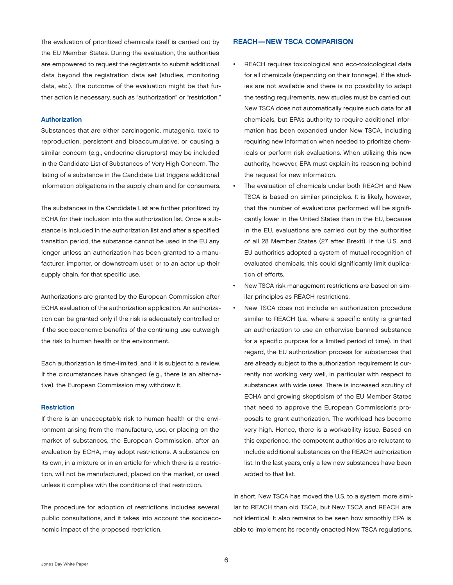The evaluation of prioritized chemicals itself is carried out by the EU Member States. During the evaluation, the authorities are empowered to request the registrants to submit additional data beyond the registration data set (studies, monitoring data, etc.). The outcome of the evaluation might be that further action is necessary, such as "authorization" or "restriction."

#### Authorization

Substances that are either carcinogenic, mutagenic, toxic to reproduction, persistent and bioaccumulative, or causing a similar concern (e.g., endocrine disruptors) may be included in the Candidate List of Substances of Very High Concern. The listing of a substance in the Candidate List triggers additional information obligations in the supply chain and for consumers.

The substances in the Candidate List are further prioritized by ECHA for their inclusion into the authorization list. Once a substance is included in the authorization list and after a specified transition period, the substance cannot be used in the EU any longer unless an authorization has been granted to a manufacturer, importer, or downstream user, or to an actor up their supply chain, for that specific use.

Authorizations are granted by the European Commission after ECHA evaluation of the authorization application. An authorization can be granted only if the risk is adequately controlled or if the socioeconomic benefits of the continuing use outweigh the risk to human health or the environment.

Each authorization is time-limited, and it is subject to a review. If the circumstances have changed (e.g., there is an alternative), the European Commission may withdraw it.

#### **Restriction**

If there is an unacceptable risk to human health or the environment arising from the manufacture, use, or placing on the market of substances, the European Commission, after an evaluation by ECHA, may adopt restrictions. A substance on its own, in a mixture or in an article for which there is a restriction, will not be manufactured, placed on the market, or used unless it complies with the conditions of that restriction.

The procedure for adoption of restrictions includes several public consultations, and it takes into account the socioeconomic impact of the proposed restriction.

## REACH—NEW TSCA COMPARISON

- REACH requires toxicological and eco-toxicological data for all chemicals (depending on their tonnage). If the studies are not available and there is no possibility to adapt the testing requirements, new studies must be carried out. New TSCA does not automatically require such data for all chemicals, but EPA's authority to require additional information has been expanded under New TSCA, including requiring new information when needed to prioritize chemicals or perform risk evaluations. When utilizing this new authority, however, EPA must explain its reasoning behind the request for new information.
- The evaluation of chemicals under both REACH and New TSCA is based on similar principles. It is likely, however, that the number of evaluations performed will be significantly lower in the United States than in the EU, because in the EU, evaluations are carried out by the authorities of all 28 Member States (27 after Brexit). If the U.S. and EU authorities adopted a system of mutual recognition of evaluated chemicals, this could significantly limit duplication of efforts.
- New TSCA risk management restrictions are based on similar principles as REACH restrictions.
- New TSCA does not include an authorization procedure similar to REACH (i.e., where a specific entity is granted an authorization to use an otherwise banned substance for a specific purpose for a limited period of time). In that regard, the EU authorization process for substances that are already subject to the authorization requirement is currently not working very well, in particular with respect to substances with wide uses. There is increased scrutiny of ECHA and growing skepticism of the EU Member States that need to approve the European Commission's proposals to grant authorization. The workload has become very high. Hence, there is a workability issue. Based on this experience, the competent authorities are reluctant to include additional substances on the REACH authorization list. In the last years, only a few new substances have been added to that list.

In short, New TSCA has moved the U.S. to a system more similar to REACH than old TSCA, but New TSCA and REACH are not identical. It also remains to be seen how smoothly EPA is able to implement its recently enacted New TSCA regulations.